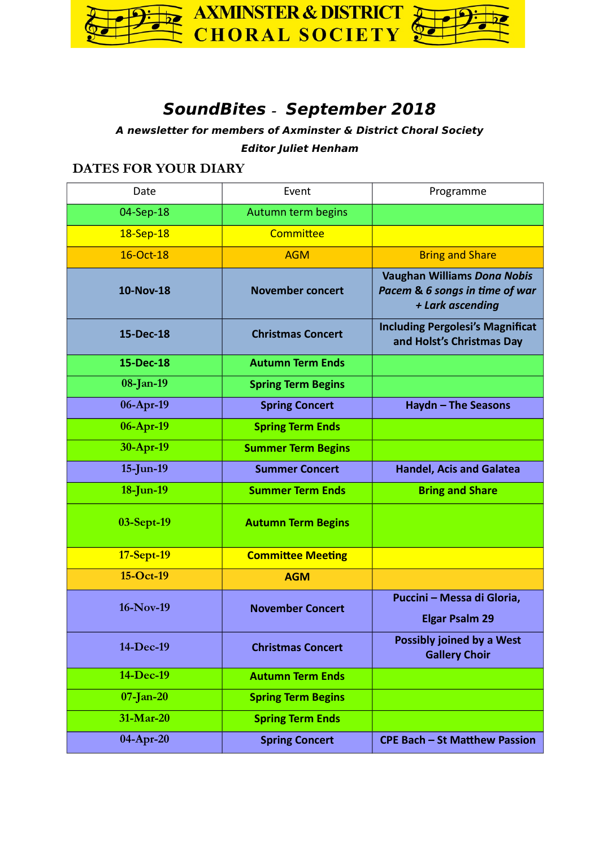

# **SoundBites – September 2018**

**A newsletter for members of Axminster & District Choral Society**

**Editor Juliet Henham**

# **DATES FOR YOUR DIARY**

| Date         | Event                     | Programme                                                                                |
|--------------|---------------------------|------------------------------------------------------------------------------------------|
| 04-Sep-18    | Autumn term begins        |                                                                                          |
| 18-Sep-18    | Committee                 |                                                                                          |
| 16-Oct-18    | <b>AGM</b>                | <b>Bring and Share</b>                                                                   |
| 10-Nov-18    | <b>November concert</b>   | <b>Vaughan Williams Dona Nobis</b><br>Pacem & 6 songs in time of war<br>+ Lark ascending |
| 15-Dec-18    | <b>Christmas Concert</b>  | <b>Including Pergolesi's Magnificat</b><br>and Holst's Christmas Day                     |
| 15-Dec-18    | <b>Autumn Term Ends</b>   |                                                                                          |
| 08-Jan-19    | <b>Spring Term Begins</b> |                                                                                          |
| 06-Apr-19    | <b>Spring Concert</b>     | <b>Haydn - The Seasons</b>                                                               |
| 06-Apr-19    | <b>Spring Term Ends</b>   |                                                                                          |
| 30-Apr-19    | <b>Summer Term Begins</b> |                                                                                          |
| $15$ -Jun-19 | <b>Summer Concert</b>     | <b>Handel, Acis and Galatea</b>                                                          |
| 18-Jun-19    | <b>Summer Term Ends</b>   | <b>Bring and Share</b>                                                                   |
| 03-Sept-19   | <b>Autumn Term Begins</b> |                                                                                          |
| 17-Sept-19   | <b>Committee Meeting</b>  |                                                                                          |
| 15-Oct-19    | <b>AGM</b>                |                                                                                          |
| 16-Nov-19    | <b>November Concert</b>   | Puccini - Messa di Gloria,<br><b>Elgar Psalm 29</b>                                      |
| 14-Dec-19    | <b>Christmas Concert</b>  | <b>Possibly joined by a West</b><br><b>Gallery Choir</b>                                 |
| 14-Dec-19    | <b>Autumn Term Ends</b>   |                                                                                          |
| $07$ -Jan-20 | <b>Spring Term Begins</b> |                                                                                          |
| 31-Mar-20    | <b>Spring Term Ends</b>   |                                                                                          |
| 04-Apr-20    | <b>Spring Concert</b>     | <b>CPE Bach - St Matthew Passion</b>                                                     |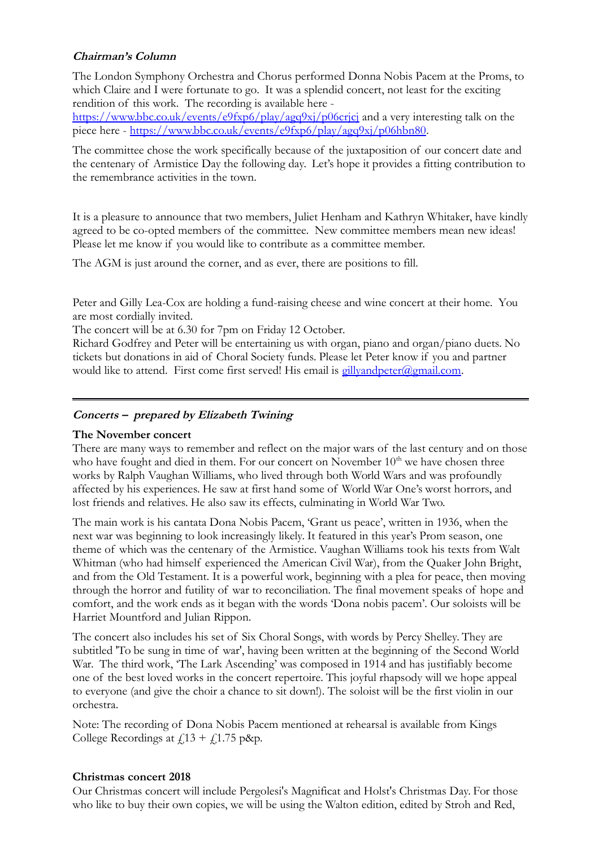# **Chairman's Column**

The London Symphony Orchestra and Chorus performed Donna Nobis Pacem at the Proms, to which Claire and I were fortunate to go. It was a splendid concert, not least for the exciting rendition of this work. The recording is available here -

<https://www.bbc.co.uk/events/e9fxp6/play/agq9xj/p06crjcj>and a very interesting talk on the piece here - [https://www.bbc.co.uk/events/e9fxp6/play/agq9xj/p06hbn80.](https://www.bbc.co.uk/events/e9fxp6/play/agq9xj/p06hbn80)

The committee chose the work specifically because of the juxtaposition of our concert date and the centenary of Armistice Day the following day. Let's hope it provides a fitting contribution to the remembrance activities in the town.

It is a pleasure to announce that two members, Juliet Henham and Kathryn Whitaker, have kindly agreed to be co-opted members of the committee. New committee members mean new ideas! Please let me know if you would like to contribute as a committee member.

The AGM is just around the corner, and as ever, there are positions to fill.

Peter and Gilly Lea-Cox are holding a fund-raising cheese and wine concert at their home. You are most cordially invited.

The concert will be at 6.30 for 7pm on Friday 12 October.

Richard Godfrey and Peter will be entertaining us with organ, piano and organ/piano duets. No tickets but donations in aid of Choral Society funds. Please let Peter know if you and partner would like to attend. First come first served! His email is  $g$ illyandpeter@gmail.com.

### **Concerts – prepared by Elizabeth Twining**

#### **The November concert**

There are many ways to remember and reflect on the major wars of the last century and on those who have fought and died in them. For our concert on November  $10<sup>th</sup>$  we have chosen three works by Ralph Vaughan Williams, who lived through both World Wars and was profoundly affected by his experiences. He saw at first hand some of World War One's worst horrors, and lost friends and relatives. He also saw its effects, culminating in World War Two.

The main work is his cantata Dona Nobis Pacem, 'Grant us peace', written in 1936, when the next war was beginning to look increasingly likely. It featured in this year's Prom season, one theme of which was the centenary of the Armistice. Vaughan Williams took his texts from Walt Whitman (who had himself experienced the American Civil War), from the Quaker John Bright, and from the Old Testament. It is a powerful work, beginning with a plea for peace, then moving through the horror and futility of war to reconciliation. The final movement speaks of hope and comfort, and the work ends as it began with the words 'Dona nobis pacem'. Our soloists will be Harriet Mountford and Julian Rippon.

The concert also includes his set of Six Choral Songs, with words by Percy Shelley. They are subtitled 'To be sung in time of war', having been written at the beginning of the Second World War. The third work, 'The Lark Ascending' was composed in 1914 and has justifiably become one of the best loved works in the concert repertoire. This joyful rhapsody will we hope appeal to everyone (and give the choir a chance to sit down!). The soloist will be the first violin in our orchestra.

Note: The recording of Dona Nobis Pacem mentioned at rehearsal is available from Kings College Recordings at  $f(13 + f(1.75) \text{ p\&p.})$ 

#### **Christmas concert 2018**

Our Christmas concert will include Pergolesi's Magnificat and Holst's Christmas Day. For those who like to buy their own copies, we will be using the Walton edition, edited by Stroh and Red,